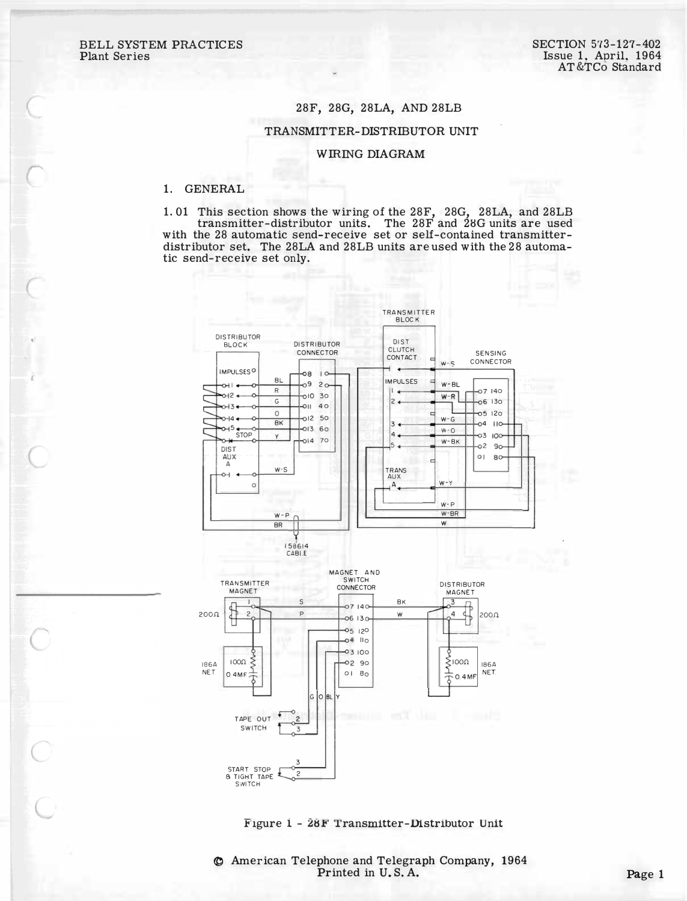## 28F, 28G, 28LA, AND 28LB

## TRANSMITTER-DISTRIBUTOR UNIT

## **WIRING DIAGRAM**

## 1. GENERAL

1.01 This section shows the wiring of the 28F, 28G, 28LA, and 28LB transmitter-distributor units. The 28F and 28G units are used with the 28 automatic send-receive set or self-contained transmitterdistributor set. The 28LA and 28LB units are used with the 28 automatic send-receive set only.





C American Telephone and Telegraph Company, 1964 Printed in U.S.A.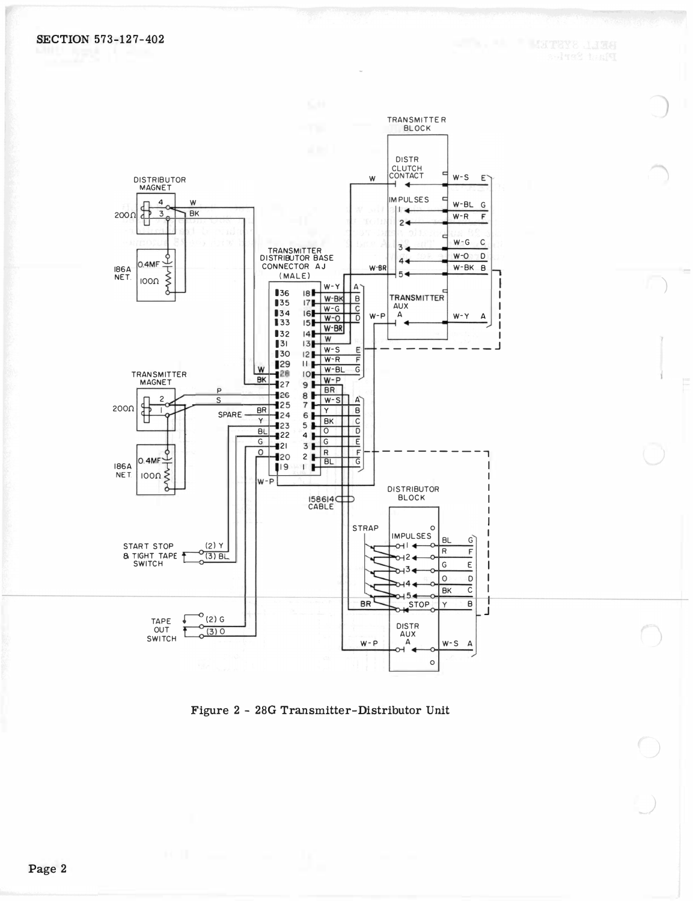

Figure 2 - 28G Transmitter-Distributor Unit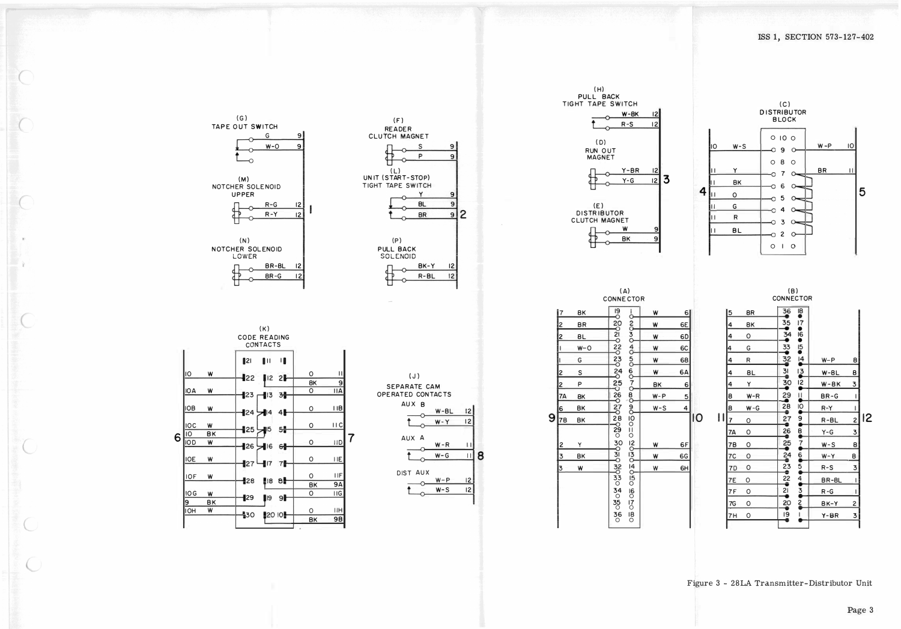



|   |                |           | (A)<br>CONNECTOR                                                                                                        |                         |         |                |    |
|---|----------------|-----------|-------------------------------------------------------------------------------------------------------------------------|-------------------------|---------|----------------|----|
| 9 | <u> 7</u>      | <b>BK</b> | $\frac{19}{2}$                                                                                                          | ı<br>Ó<br>$\frac{2}{5}$ | W       | $6 \mid$       |    |
|   | $\overline{c}$ | BR        | $\frac{20}{2}$<br>$\frac{2!}{0}$<br>$\frac{22}{5}$<br>$\frac{23}{0}$<br>$\frac{24}{0}$<br>$^{25}_{0}$<br>$\frac{26}{0}$ |                         | W       | 6E             |    |
|   | $\overline{c}$ | ΒL        |                                                                                                                         |                         | W       | 6D             |    |
|   |                | $W - O$   |                                                                                                                         | 3040                    | W       | 6C             |    |
|   |                | G         |                                                                                                                         |                         | W       | 68             |    |
|   | $\overline{2}$ | S         |                                                                                                                         |                         | W       | 6A             |    |
|   | $\overline{2}$ | P         |                                                                                                                         | 00000                   | BK      | 6              |    |
|   | 7A             | BΚ        |                                                                                                                         | $\mathbf{g}$            | $W - P$ | $\overline{5}$ |    |
|   | 6              | BΚ        | $\frac{27}{5}$                                                                                                          | ပ္လိ                    | $W-S$   | 4              |    |
|   | 78             | BK        | $^{28}_{\circ}$                                                                                                         |                         |         |                | IO |
|   | $\overline{2}$ | Y         | $\frac{29}{0}$<br>30<br>30<br>31<br>0<br>$rac{32}{0}$                                                                   | 0000                    | W       | 6F             |    |
|   | $\overline{3}$ | BΚ        |                                                                                                                         | <b>Papia</b>            | W       | 6G             |    |
|   | 3              | W         |                                                                                                                         |                         | W       | 6H             |    |
|   |                |           | $\frac{33}{0}$<br>$\frac{34}{0}$<br>$\frac{35}{0}$<br>$\frac{36}{0}$                                                    | $000 - 1$<br>160170180  |         |                |    |





 $(G)$ 

TAPE OUT SWITCH

 $\Omega$ 

(M)<br>NOTCHER SOLENOID

**UPPER** 

 $(N)$ 

NOTCHER SOLENOID

LOWER

G

 $W - O$ 

 $R-G$ 

 $R - Y$ 

BR-BL

BR-G

 $\overline{12}$ 

 $12$ 

 $\overline{12}$ 







ISS 1, SECTION 573-127-402





-111

Figure 3 - 28LA Transmitter-Distributor Unit